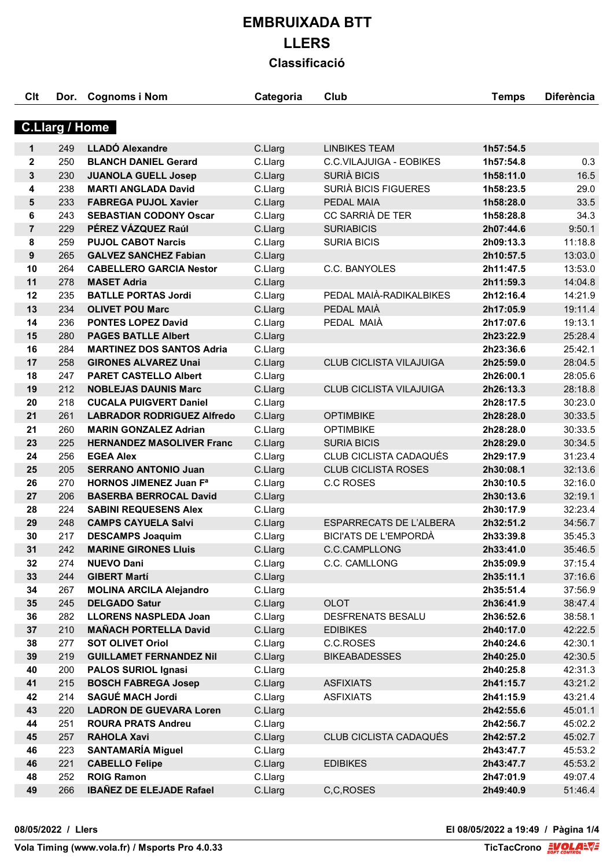| Clt            | Dor.                  | <b>Cognoms i Nom</b>              | Categoria | Club                           | <b>Temps</b>           | <b>Diferència</b>  |
|----------------|-----------------------|-----------------------------------|-----------|--------------------------------|------------------------|--------------------|
|                | <b>C.Llarg / Home</b> |                                   |           |                                |                        |                    |
| 1              | 249                   | <b>LLADÓ Alexandre</b>            | C.Llarg   | <b>LINBIKES TEAM</b>           | 1h57:54.5              |                    |
| $\mathbf{2}$   | 250                   | <b>BLANCH DANIEL Gerard</b>       | C.Llarg   | C.C.VILAJUIGA - EOBIKES        | 1h57:54.8              | 0.3                |
| 3              | 230                   | <b>JUANOLA GUELL Josep</b>        | C.Llarg   | SURIÀ BICIS                    | 1h58:11.0              | 16.5               |
| 4              | 238                   | <b>MARTI ANGLADA David</b>        | C.Llarg   | SURIÀ BICIS FIGUERES           | 1h58:23.5              | 29.0               |
| 5              | 233                   | <b>FABREGA PUJOL Xavier</b>       | C.Llarg   | PEDAL MAIA                     | 1h58:28.0              | 33.5               |
| 6              | 243                   | <b>SEBASTIAN CODONY Oscar</b>     | C.Llarg   | CC SARRIÀ DE TER               | 1h58:28.8              | 34.3               |
| $\overline{7}$ | 229                   | PÉREZ VÁZQUEZ Raúl                | C.Llarg   | <b>SURIABICIS</b>              | 2h07:44.6              | 9:50.1             |
| 8              | 259                   | <b>PUJOL CABOT Narcis</b>         | C.Llarg   | <b>SURIA BICIS</b>             | 2h09:13.3              | 11:18.8            |
| 9              | 265                   | <b>GALVEZ SANCHEZ Fabian</b>      | C.Llarg   |                                | 2h10:57.5              | 13:03.0            |
| 10             | 264                   | <b>CABELLERO GARCIA Nestor</b>    | C.Llarg   | C.C. BANYOLES                  | 2h11:47.5              | 13:53.0            |
| 11             | 278                   | <b>MASET Adria</b>                |           |                                |                        |                    |
| 12             |                       | <b>BATLLE PORTAS Jordi</b>        | C.Llarg   | PEDAL MAIÀ-RADIKALBIKES        | 2h11:59.3<br>2h12:16.4 | 14:04.8<br>14:21.9 |
|                | 235                   |                                   | C.Llarg   | PEDAL MAIÀ                     |                        |                    |
| 13             | 234                   | <b>OLIVET POU Marc</b>            | C.Llarg   |                                | 2h17:05.9              | 19:11.4            |
| 14             | 236                   | <b>PONTES LOPEZ David</b>         | C.Llarg   | PEDAL MAIA                     | 2h17:07.6              | 19:13.1            |
| 15             | 280                   | <b>PAGES BATLLE Albert</b>        | C.Llarg   |                                | 2h23:22.9              | 25:28.4            |
| 16             | 284                   | <b>MARTINEZ DOS SANTOS Adria</b>  | C.Llarg   |                                | 2h23:36.6              | 25:42.1            |
| 17             | 258                   | <b>GIRONES ALVAREZ Unai</b>       | C.Llarg   | <b>CLUB CICLISTA VILAJUIGA</b> | 2h25:59.0              | 28:04.5            |
| 18             | 247                   | <b>PARET CASTELLO Albert</b>      | C.Llarg   |                                | 2h26:00.1              | 28:05.6            |
| 19             | 212                   | <b>NOBLEJAS DAUNIS Marc</b>       | C.Llarg   | <b>CLUB CICLISTA VILAJUIGA</b> | 2h26:13.3              | 28:18.8            |
| 20             | 218                   | <b>CUCALA PUIGVERT Daniel</b>     | C.Llarg   |                                | 2h28:17.5              | 30:23.0            |
| 21             | 261                   | <b>LABRADOR RODRIGUEZ Alfredo</b> | C.Llarg   | <b>OPTIMBIKE</b>               | 2h28:28.0              | 30:33.5            |
| 21             | 260                   | <b>MARIN GONZALEZ Adrian</b>      | C.Llarg   | <b>OPTIMBIKE</b>               | 2h28:28.0              | 30:33.5            |
| 23             | 225                   | <b>HERNANDEZ MASOLIVER Franc</b>  | C.Llarg   | <b>SURIA BICIS</b>             | 2h28:29.0              | 30:34.5            |
| 24             | 256                   | <b>EGEA Alex</b>                  | C.Llarg   | CLUB CICLISTA CADAQUÉS         | 2h29:17.9              | 31:23.4            |
| 25             | 205                   | <b>SERRANO ANTONIO Juan</b>       | C.Llarg   | <b>CLUB CICLISTA ROSES</b>     | 2h30:08.1              | 32:13.6            |
| 26             | 270                   | <b>HORNOS JIMENEZ Juan Fa</b>     | C.Llarg   | <b>C.C ROSES</b>               | 2h30:10.5              | 32:16.0            |
| 27             | 206                   | <b>BASERBA BERROCAL David</b>     | C.Llarg   |                                | 2h30:13.6              | 32:19.1            |
| 28             | 224                   | <b>SABINI REQUESENS Alex</b>      | C.Llarg   |                                | 2h30:17.9              | 32:23.4            |
| 29             | 248                   | <b>CAMPS CAYUELA Salvi</b>        | C.Llarg   | <b>ESPARRECATS DE L'ALBERA</b> | 2h32:51.2              | 34:56.7            |
| 30             | 217                   | <b>DESCAMPS Joaquim</b>           | C.Llarg   | <b>BICI'ATS DE L'EMPORDÀ</b>   | 2h33:39.8              | 35:45.3            |
| 31             | 242                   | <b>MARINE GIRONES Lluis</b>       | C.Llarg   | C.C.CAMPLLONG                  | 2h33:41.0              | 35:46.5            |
| 32             | 274                   | <b>NUEVO Dani</b>                 | C.Llarg   | C.C. CAMLLONG                  | 2h35:09.9              | 37:15.4            |
| 33             | 244                   | <b>GIBERT Martí</b>               | C.Llarg   |                                | 2h35:11.1              | 37:16.6            |
| 34             | 267                   | <b>MOLINA ARCILA Alejandro</b>    | C.Llarg   |                                | 2h35:51.4              | 37:56.9            |
| 35             | 245                   | <b>DELGADO Satur</b>              | C.Llarg   | <b>OLOT</b>                    | 2h36:41.9              | 38:47.4            |
| 36             | 282                   | <b>LLORENS NASPLEDA Joan</b>      | C.Llarg   | DESFRENATS BESALU              | 2h36:52.6              | 38:58.1            |
| 37             | 210                   | <b>MAÑACH PORTELLA David</b>      | C.Llarg   | <b>EDIBIKES</b>                | 2h40:17.0              | 42:22.5            |
| 38             | 277                   | <b>SOT OLIVET Oriol</b>           | C.Llarg   | C.C.ROSES                      | 2h40:24.6              | 42:30.1            |
| 39             | 219                   | <b>GUILLAMET FERNANDEZ Nil</b>    | C.Llarg   | <b>BIKEABADESSES</b>           | 2h40:25.0              | 42:30.5            |
| 40             | 200                   | <b>PALOS SURIOL Ignasi</b>        | C.Llarg   |                                | 2h40:25.8              | 42:31.3            |
| 41             | 215                   | <b>BOSCH FABREGA Josep</b>        | C.Llarg   | <b>ASFIXIATS</b>               | 2h41:15.7              | 43:21.2            |
| 42             | 214                   | <b>SAGUÉ MACH Jordi</b>           | C.Llarg   | <b>ASFIXIATS</b>               | 2h41:15.9              | 43:21.4            |
| 43             | 220                   | <b>LADRON DE GUEVARA Loren</b>    | C.Llarg   |                                | 2h42:55.6              | 45:01.1            |
| 44             | 251                   | <b>ROURA PRATS Andreu</b>         | C.Llarg   |                                | 2h42:56.7              | 45:02.2            |
| 45             | 257                   | <b>RAHOLA Xavi</b>                | C.Llarg   | CLUB CICLISTA CADAQUÉS         | 2h42:57.2              | 45:02.7            |
| 46             | 223                   | <b>SANTAMARÍA Miguel</b>          | C.Llarg   |                                | 2h43:47.7              | 45:53.2            |
| 46             | 221                   | <b>CABELLO Felipe</b>             | C.Llarg   | <b>EDIBIKES</b>                | 2h43:47.7              | 45:53.2            |
| 48             | 252                   | <b>ROIG Ramon</b>                 | C.Llarg   |                                | 2h47:01.9              | 49:07.4            |
| 49             | 266                   | <b>IBAÑEZ DE ELEJADE Rafael</b>   | C.Llarg   | C,C,ROSES                      | 2h49:40.9              | 51:46.4            |
|                |                       |                                   |           |                                |                        |                    |

**08/05/2022 / Llers El 08/05/2022 a 19:49 / Pàgina 1/4**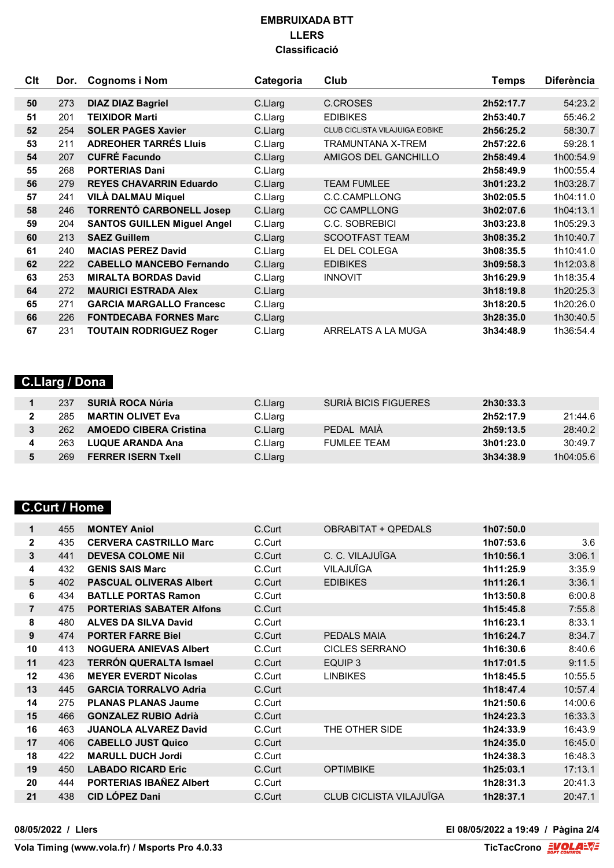| Clt | Dor. | <b>Cognoms i Nom</b>               | Categoria | Club                                  | <b>Temps</b> | <b>Diferència</b> |
|-----|------|------------------------------------|-----------|---------------------------------------|--------------|-------------------|
|     |      |                                    |           |                                       |              |                   |
| 50  | 273  | <b>DIAZ DIAZ Bagriel</b>           | C.Llarg   | C.CROSES                              | 2h52:17.7    | 54:23.2           |
| 51  | 201  | <b>TEIXIDOR Marti</b>              | C.Llarg   | <b>EDIBIKES</b>                       | 2h53:40.7    | 55:46.2           |
| 52  | 254  | <b>SOLER PAGES Xavier</b>          | C.Llarg   | <b>CLUB CICLISTA VILAJUIGA EOBIKE</b> | 2h56:25.2    | 58:30.7           |
| 53  | 211  | <b>ADREOHER TARRÉS LIUIS</b>       | C.Llarg   | TRAMUNTANA X-TREM                     | 2h57:22.6    | 59:28.1           |
| 54  | 207  | <b>CUFRÉ Facundo</b>               | C.Llarg   | AMIGOS DEL GANCHILLO                  | 2h58:49.4    | 1h00:54.9         |
| 55  | 268  | <b>PORTERIAS Dani</b>              | C.Llarg   |                                       | 2h58:49.9    | 1h00:55.4         |
| 56  | 279  | <b>REYES CHAVARRIN Eduardo</b>     | C.Llarg   | <b>TEAM FUMLEE</b>                    | 3h01:23.2    | 1h03:28.7         |
| 57  | 241  | <b>VILÀ DALMAU Miquel</b>          | C.Llarg   | C.C.CAMPLLONG                         | 3h02:05.5    | 1h04:11.0         |
| 58  | 246  | <b>TORRENTÓ CARBONELL Josep</b>    | C.Llarg   | <b>CC CAMPLLONG</b>                   | 3h02:07.6    | 1h04:13.1         |
| 59  | 204  | <b>SANTOS GUILLEN Miguel Angel</b> | C.Llarg   | C.C. SOBREBICI                        | 3h03:23.8    | 1h05:29.3         |
| 60  | 213  | <b>SAEZ Guillem</b>                | C.Llarg   | <b>SCOOTFAST TEAM</b>                 | 3h08:35.2    | 1h10:40.7         |
| 61  | 240  | <b>MACIAS PEREZ David</b>          | C.Llarg   | EL DEL COLEGA                         | 3h08:35.5    | 1h10:41.0         |
| 62  | 222  | <b>CABELLO MANCEBO Fernando</b>    | C.Llarg   | <b>EDIBIKES</b>                       | 3h09:58.3    | 1h12:03.8         |
| 63  | 253  | <b>MIRALTA BORDAS David</b>        | C.Llarg   | <b>INNOVIT</b>                        | 3h16:29.9    | 1h18:35.4         |
| 64  | 272  | <b>MAURICI ESTRADA Alex</b>        | C.Llarg   |                                       | 3h18:19.8    | 1h20:25.3         |
| 65  | 271  | <b>GARCIA MARGALLO Francesc</b>    | C.Llarg   |                                       | 3h18:20.5    | 1h20:26.0         |
| 66  | 226  | <b>FONTDECABA FORNES Marc</b>      | C.Llarg   |                                       | 3h28:35.0    | 1h30:40.5         |
| 67  | 231  | <b>TOUTAIN RODRIGUEZ Roger</b>     | C.Llarg   | ARRELATS A LA MUGA                    | 3h34:48.9    | 1h36:54.4         |

### **C.Llarg / Dona**

| 237 | SURIA ROCA Núria              | C.Llarg | SURIA BICIS FIGUERES | 2h30:33.3 |           |
|-----|-------------------------------|---------|----------------------|-----------|-----------|
| 285 | <b>MARTIN OLIVET Eva</b>      | C.Llarg |                      | 2h52:17.9 | 21:44.6   |
| 262 | <b>AMOEDO CIBERA Cristina</b> | C.Llarg | PEDAL MAIA           | 2h59:13.5 | 28:40.2   |
| 263 | <b>LUQUE ARANDA Ana</b>       | C.Llarg | <b>FUMLEE TEAM</b>   | 3h01:23.0 | 30:49.7   |
| 269 | <b>FERRER ISERN Txell</b>     | C.Llarg |                      | 3h34:38.9 | 1h04:05.6 |

## **C.Curt / Home**

| 1              | 455 | <b>MONTEY Aniol</b>             | C.Curt | <b>OBRABITAT + OPEDALS</b> | 1h07:50.0 |         |
|----------------|-----|---------------------------------|--------|----------------------------|-----------|---------|
| $\mathbf{2}$   | 435 | <b>CERVERA CASTRILLO Marc</b>   | C.Curt |                            | 1h07:53.6 | 3.6     |
| 3              | 441 | <b>DEVESA COLOME NII</b>        | C.Curt | C. C. VILAJUÏGA            | 1h10:56.1 | 3:06.1  |
| 4              | 432 | <b>GENIS SAIS Marc</b>          | C.Curt | VILAJUÏGA                  | 1h11:25.9 | 3:35.9  |
| 5              | 402 | <b>PASCUAL OLIVERAS Albert</b>  | C.Curt | <b>EDIBIKES</b>            | 1h11:26.1 | 3:36.1  |
| 6              | 434 | <b>BATLLE PORTAS Ramon</b>      | C.Curt |                            | 1h13:50.8 | 6:00.8  |
| $\overline{7}$ | 475 | <b>PORTERIAS SABATER Alfons</b> | C.Curt |                            | 1h15:45.8 | 7:55.8  |
| 8              | 480 | <b>ALVES DA SILVA David</b>     | C.Curt |                            | 1h16:23.1 | 8:33.1  |
| 9              | 474 | <b>PORTER FARRE Biel</b>        | C.Curt | PEDALS MAIA                | 1h16:24.7 | 8:34.7  |
| 10             | 413 | <b>NOGUERA ANIEVAS Albert</b>   | C.Curt | <b>CICLES SERRANO</b>      | 1h16:30.6 | 8:40.6  |
| 11             | 423 | <b>TERRÓN QUERALTA Ismael</b>   | C.Curt | EQUIP 3                    | 1h17:01.5 | 9:11.5  |
| 12             | 436 | <b>MEYER EVERDT Nicolas</b>     | C.Curt | <b>LINBIKES</b>            | 1h18:45.5 | 10:55.5 |
| 13             | 445 | <b>GARCIA TORRALVO Adria</b>    | C.Curt |                            | 1h18:47.4 | 10:57.4 |
| 14             | 275 | <b>PLANAS PLANAS Jaume</b>      | C.Curt |                            | 1h21:50.6 | 14:00.6 |
| 15             | 466 | <b>GONZALEZ RUBIO Adrià</b>     | C.Curt |                            | 1h24:23.3 | 16:33.3 |
| 16             | 463 | <b>JUANOLA ALVAREZ David</b>    | C.Curt | THE OTHER SIDE             | 1h24:33.9 | 16:43.9 |
| 17             | 406 | <b>CABELLO JUST Quico</b>       | C.Curt |                            | 1h24:35.0 | 16:45.0 |
| 18             | 422 | <b>MARULL DUCH Jordi</b>        | C.Curt |                            | 1h24:38.3 | 16:48.3 |
| 19             | 450 | <b>LABADO RICARD Eric</b>       | C.Curt | <b>OPTIMBIKE</b>           | 1h25:03.1 | 17:13.1 |
| 20             | 444 | <b>PORTERIAS IBAÑEZ Albert</b>  | C.Curt |                            | 1h28:31.3 | 20:41.3 |
| 21             | 438 | <b>CID LÓPEZ Dani</b>           | C.Curt | CLUB CICLISTA VILAJUÏGA    | 1h28:37.1 | 20:47.1 |
|                |     |                                 |        |                            |           |         |

**08/05/2022 / Llers El 08/05/2022 a 19:49 / Pàgina 2/4**

**Vola Timing (www.vola.fr) / Msports Pro 4.0.33**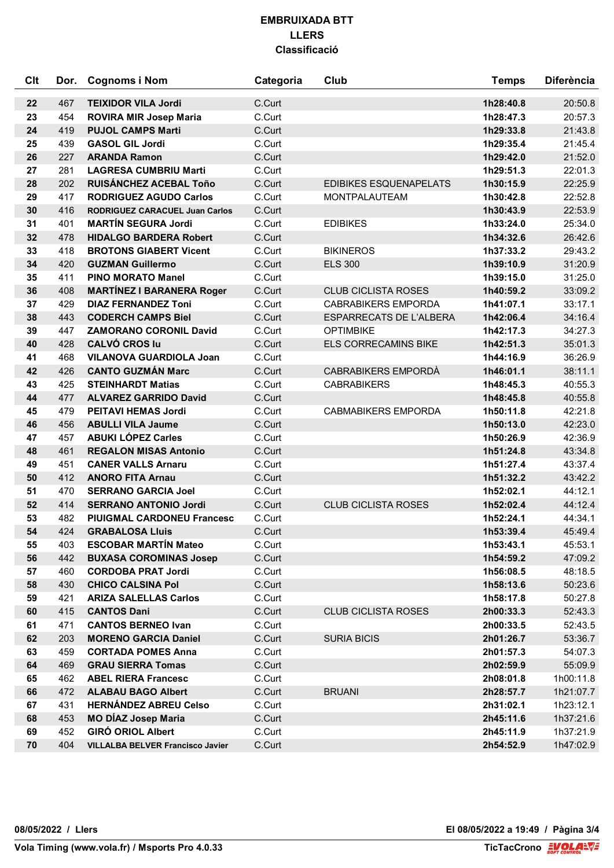| Clt | Dor. | <b>Cognoms i Nom</b>                    | Categoria | Club                          | <b>Temps</b> | <b>Diferència</b> |
|-----|------|-----------------------------------------|-----------|-------------------------------|--------------|-------------------|
| 22  | 467  | <b>TEIXIDOR VILA Jordi</b>              | C.Curt    |                               | 1h28:40.8    | 20:50.8           |
| 23  | 454  | <b>ROVIRA MIR Josep Maria</b>           | C.Curt    |                               | 1h28:47.3    | 20:57.3           |
| 24  | 419  | <b>PUJOL CAMPS Marti</b>                | C.Curt    |                               | 1h29:33.8    | 21:43.8           |
| 25  | 439  | <b>GASOL GIL Jordi</b>                  | C.Curt    |                               | 1h29:35.4    | 21:45.4           |
| 26  | 227  | <b>ARANDA Ramon</b>                     | C.Curt    |                               | 1h29:42.0    | 21:52.0           |
| 27  | 281  | <b>LAGRESA CUMBRIU Marti</b>            | C.Curt    |                               | 1h29:51.3    | 22:01.3           |
| 28  | 202  | RUISÁNCHEZ ACEBAL Toño                  | C.Curt    | <b>EDIBIKES ESQUENAPELATS</b> | 1h30:15.9    | 22:25.9           |
| 29  | 417  | <b>RODRIGUEZ AGUDO Carlos</b>           | C.Curt    | MONTPALAUTEAM                 | 1h30:42.8    | 22:52.8           |
| 30  | 416  | <b>RODRIGUEZ CARACUEL Juan Carlos</b>   | C.Curt    |                               | 1h30:43.9    | 22:53.9           |
| 31  | 401  | <b>MARTÍN SEGURA Jordi</b>              | C.Curt    | <b>EDIBIKES</b>               | 1h33:24.0    | 25:34.0           |
| 32  | 478  | <b>HIDALGO BARDERA Robert</b>           | C.Curt    |                               | 1h34:32.6    | 26:42.6           |
| 33  | 418  | <b>BROTONS GIABERT Vicent</b>           | C.Curt    | <b>BIKINEROS</b>              | 1h37:33.2    | 29:43.2           |
| 34  | 420  | <b>GUZMAN Guillermo</b>                 | C.Curt    | <b>ELS 300</b>                | 1h39:10.9    | 31:20.9           |
| 35  | 411  | <b>PINO MORATO Manel</b>                | C.Curt    |                               | 1h39:15.0    | 31:25.0           |
| 36  | 408  | <b>MARTÍNEZ I BARANERA Roger</b>        | C.Curt    | <b>CLUB CICLISTA ROSES</b>    | 1h40:59.2    | 33:09.2           |
| 37  | 429  | <b>DIAZ FERNANDEZ Toni</b>              | C.Curt    | <b>CABRABIKERS EMPORDA</b>    | 1h41:07.1    | 33:17.1           |
| 38  | 443  | <b>CODERCH CAMPS Biel</b>               | C.Curt    | ESPARRECATS DE L'ALBERA       | 1h42:06.4    | 34:16.4           |
| 39  | 447  | <b>ZAMORANO CORONIL David</b>           | C.Curt    | <b>OPTIMBIKE</b>              | 1h42:17.3    | 34:27.3           |
| 40  | 428  | <b>CALVÓ CROS lu</b>                    | C.Curt    | <b>ELS CORRECAMINS BIKE</b>   | 1h42:51.3    | 35:01.3           |
| 41  | 468  | <b>VILANOVA GUARDIOLA Joan</b>          | C.Curt    |                               | 1h44:16.9    | 36:26.9           |
| 42  | 426  | <b>CANTO GUZMÁN Marc</b>                | C.Curt    | CABRABIKERS EMPORDÀ           | 1h46:01.1    | 38:11.1           |
| 43  | 425  | <b>STEINHARDT Matias</b>                | C.Curt    | <b>CABRABIKERS</b>            | 1h48:45.3    | 40:55.3           |
| 44  | 477  | <b>ALVAREZ GARRIDO David</b>            | C.Curt    |                               | 1h48:45.8    | 40:55.8           |
| 45  | 479  | <b>PEITAVI HEMAS Jordi</b>              | C.Curt    | <b>CABMABIKERS EMPORDA</b>    | 1h50:11.8    | 42:21.8           |
| 46  | 456  | <b>ABULLI VILA Jaume</b>                | C.Curt    |                               | 1h50:13.0    | 42:23.0           |
| 47  | 457  | <b>ABUKI LÓPEZ Carles</b>               | C.Curt    |                               | 1h50:26.9    | 42:36.9           |
| 48  | 461  | <b>REGALON MISAS Antonio</b>            | C.Curt    |                               | 1h51:24.8    | 43:34.8           |
| 49  | 451  | <b>CANER VALLS Arnaru</b>               | C.Curt    |                               | 1h51:27.4    | 43:37.4           |
| 50  | 412  | <b>ANORO FITA Arnau</b>                 | C.Curt    |                               | 1h51:32.2    | 43:42.2           |
| 51  | 470  | <b>SERRANO GARCIA Joel</b>              | C.Curt    |                               | 1h52:02.1    | 44:12.1           |
| 52  | 414  | <b>SERRANO ANTONIO Jordi</b>            | C.Curt    | <b>CLUB CICLISTA ROSES</b>    | 1h52:02.4    | 44:12.4           |
| 53  | 482  | <b>PIUIGMAL CARDONEU Francesc</b>       | C.Curt    |                               | 1h52:24.1    | 44:34.1           |
| 54  | 424  | <b>GRABALOSA Lluis</b>                  | C.Curt    |                               | 1h53:39.4    | 45:49.4           |
| 55  | 403  | <b>ESCOBAR MARTÍN Mateo</b>             | C.Curt    |                               | 1h53:43.1    | 45:53.1           |
| 56  | 442  | <b>BUXASA COROMINAS Josep</b>           | C.Curt    |                               | 1h54:59.2    | 47:09.2           |
| 57  | 460  | <b>CORDOBA PRAT Jordi</b>               | C.Curt    |                               | 1h56:08.5    | 48:18.5           |
| 58  | 430  | <b>CHICO CALSINA Pol</b>                | C.Curt    |                               | 1h58:13.6    | 50:23.6           |
| 59  | 421  | <b>ARIZA SALELLAS Carlos</b>            | C.Curt    |                               | 1h58:17.8    | 50:27.8           |
| 60  | 415  | <b>CANTOS Dani</b>                      | C.Curt    | <b>CLUB CICLISTA ROSES</b>    | 2h00:33.3    | 52:43.3           |
| 61  | 471  | <b>CANTOS BERNEO Ivan</b>               | C.Curt    |                               | 2h00:33.5    | 52:43.5           |
| 62  | 203  | <b>MORENO GARCIA Daniel</b>             | C.Curt    | <b>SURIA BICIS</b>            | 2h01:26.7    | 53:36.7           |
| 63  | 459  | <b>CORTADA POMES Anna</b>               | C.Curt    |                               | 2h01:57.3    | 54:07.3           |
| 64  | 469  | <b>GRAU SIERRA Tomas</b>                | C.Curt    |                               | 2h02:59.9    | 55:09.9           |
| 65  | 462  | <b>ABEL RIERA Francesc</b>              | C.Curt    |                               | 2h08:01.8    | 1h00:11.8         |
| 66  | 472  | <b>ALABAU BAGO Albert</b>               | C.Curt    | <b>BRUANI</b>                 | 2h28:57.7    | 1h21:07.7         |
| 67  | 431  | <b>HERNÁNDEZ ABREU Celso</b>            | C.Curt    |                               | 2h31:02.1    | 1h23:12.1         |
| 68  | 453  | <b>MO DÍAZ Josep Maria</b>              | C.Curt    |                               | 2h45:11.6    | 1h37:21.6         |
| 69  | 452  | <b>GIRÓ ORIOL Albert</b>                | C.Curt    |                               | 2h45:11.9    | 1h37:21.9         |
| 70  | 404  | <b>VILLALBA BELVER Francisco Javier</b> | C.Curt    |                               | 2h54:52.9    | 1h47:02.9         |